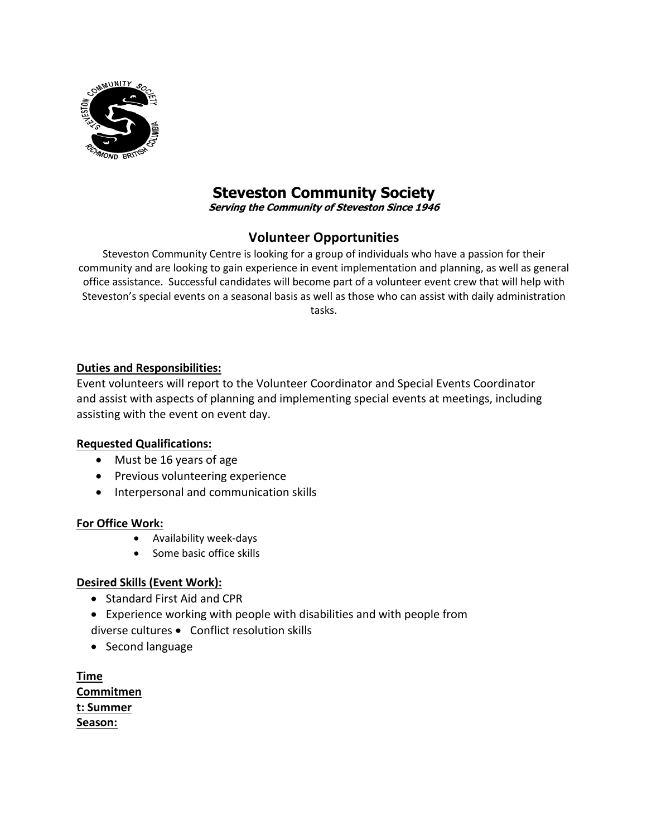

# **Steveston Community Society**

**Serving the Community of Steveston Since 1946**

# **Volunteer Opportunities**

Steveston Community Centre is looking for a group of individuals who have a passion for their community and are looking to gain experience in event implementation and planning, as well as general office assistance. Successful candidates will become part of a volunteer event crew that will help with Steveston's special events on a seasonal basis as well as those who can assist with daily administration tasks.

#### **Duties and Responsibilities:**

Event volunteers will report to the Volunteer Coordinator and Special Events Coordinator and assist with aspects of planning and implementing special events at meetings, including assisting with the event on event day.

#### **Requested Qualifications:**

- Must be 16 years of age
- Previous volunteering experience
- Interpersonal and communication skills

#### **For Office Work:**

- Availability week-days
- Some basic office skills

#### **Desired Skills (Event Work):**

- Standard First Aid and CPR
- Experience working with people with disabilities and with people from diverse cultures • Conflict resolution skills
- Second language

**Time Commitmen t: Summer Season:**